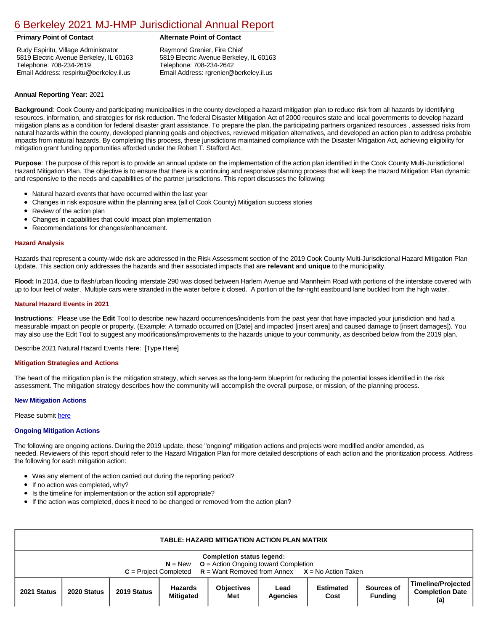# [6 Berkeley 2021 MJ-HMP Jurisdictional Annual Report](https://berkeley.isc-cemp.com/Cemp/Details?id=8322680)

Rudy Espiritu, Village Administrator 5819 Electric Avenue Berkeley, IL 60163 Telephone: 708-234-2619 Email Address: respiritu@berkeley.il.us

# **Primary Point of Contact Alternate Point of Contact**

Raymond Grenier, Fire Chief 5819 Electric Avenue Berkeley, IL 60163 Telephone: 708-234-2642 Email Address: rgrenier@berkeley.il.us

## **Annual Reporting Year:** 2021

**Background**: Cook County and participating municipalities in the county developed a hazard mitigation plan to reduce risk from all hazards by identifying resources, information, and strategies for risk reduction. The federal Disaster Mitigation Act of 2000 requires state and local governments to develop hazard mitigation plans as a condition for federal disaster grant assistance. To prepare the plan, the participating partners organized resources , assessed risks from natural hazards within the county, developed planning goals and objectives, reviewed mitigation alternatives, and developed an action plan to address probable impacts from natural hazards. By completing this process, these jurisdictions maintained compliance with the Disaster Mitigation Act, achieving eligibility for mitigation grant funding opportunities afforded under the Robert T. Stafford Act.

**Purpose**: The purpose of this report is to provide an annual update on the implementation of the action plan identified in the Cook County Multi-Jurisdictional Hazard Mitigation Plan. The objective is to ensure that there is a continuing and responsive planning process that will keep the Hazard Mitigation Plan dynamic and responsive to the needs and capabilities of the partner jurisdictions. This report discusses the following:

- Natural hazard events that have occurred within the last year
- Changes in risk exposure within the planning area (all of Cook County) Mitigation success stories
- Review of the action plan  $\bullet$
- Changes in capabilities that could impact plan implementation
- Recommendations for changes/enhancement.

### **Hazard Analysis**

Hazards that represent a county-wide risk are addressed in the Risk Assessment section of the 2019 Cook County Multi-Jurisdictional Hazard Mitigation Plan Update. This section only addresses the hazards and their associated impacts that are **relevant** and **unique** to the municipality.

Flood: In 2014, due to flash/urban flooding interstate 290 was closed between Harlem Avenue and Mannheim Road with portions of the interstate covered with up to four feet of water. Multiple cars were stranded in the water before it closed. A portion of the far-right eastbound lane buckled from the high water.

### **Natural Hazard Events in 2021**

**Instructions**: Please use the **Edit** Tool to describe new hazard occurrences/incidents from the past year that have impacted your jurisdiction and had a measurable impact on people or property. (Example: A tornado occurred on [Date] and impacted [insert area] and caused damage to [insert damages]). You may also use the Edit Tool to suggest any modifications/improvements to the hazards unique to your community, as described below from the 2019 plan.

Describe 2021 Natural Hazard Events Here: [Type Here]

#### **Mitigation Strategies and Actions**

The heart of the mitigation plan is the mitigation strategy, which serves as the long-term blueprint for reducing the potential losses identified in the risk assessment. The mitigation strategy describes how the community will accomplish the overall purpose, or mission, of the planning process.

#### **New Mitigation Actions**

Please submit [here](https://integratedsolutions.wufoo.com/forms/mg21jvf0jn639o/)

#### **Ongoing Mitigation Actions**

The following are ongoing actions. During the 2019 update, these "ongoing" mitigation actions and projects were modified and/or amended, as needed. Reviewers of this report should refer to the Hazard Mitigation Plan for more detailed descriptions of each action and the prioritization process. Address the following for each mitigation action:

- Was any element of the action carried out during the reporting period?
- If no action was completed, why?  $\bullet$
- Is the timeline for implementation or the action still appropriate?
- $\bullet$ If the action was completed, does it need to be changed or removed from the action plan?

| <b>TABLE: HAZARD MITIGATION ACTION PLAN MATRIX</b>                                                                                                               |             |             |                             |                          |                         |                          |                              |                                                     |  |
|------------------------------------------------------------------------------------------------------------------------------------------------------------------|-------------|-------------|-----------------------------|--------------------------|-------------------------|--------------------------|------------------------------|-----------------------------------------------------|--|
| <b>Completion status legend:</b><br>$N = New$ $Q = Action O$ of toward Completion<br>$C = Project Completed$ $R = Want Removed from Annex$ $X = No$ Action Taken |             |             |                             |                          |                         |                          |                              |                                                     |  |
| 2021 Status                                                                                                                                                      | 2020 Status | 2019 Status | Hazards<br><b>Mitigated</b> | <b>Objectives</b><br>Met | Lead<br><b>Agencies</b> | <b>Estimated</b><br>Cost | Sources of<br><b>Funding</b> | Timeline/Projected<br><b>Completion Date</b><br>(a) |  |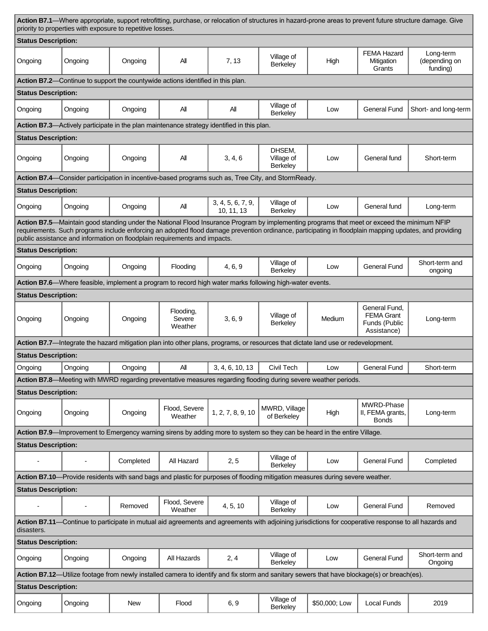| Action B7.1—Where appropriate, support retrofitting, purchase, or relocation of structures in hazard-prone areas to prevent future structure damage. Give<br>priority to properties with exposure to repetitive losses.                                                                                                                                                            |         |                                                                                 |                                |                                                                                                                                   |                                  |               |                                                                    |                                        |  |
|------------------------------------------------------------------------------------------------------------------------------------------------------------------------------------------------------------------------------------------------------------------------------------------------------------------------------------------------------------------------------------|---------|---------------------------------------------------------------------------------|--------------------------------|-----------------------------------------------------------------------------------------------------------------------------------|----------------------------------|---------------|--------------------------------------------------------------------|----------------------------------------|--|
| <b>Status Description:</b>                                                                                                                                                                                                                                                                                                                                                         |         |                                                                                 |                                |                                                                                                                                   |                                  |               |                                                                    |                                        |  |
| Ongoing                                                                                                                                                                                                                                                                                                                                                                            | Ongoing | Ongoing                                                                         | All                            | 7, 13                                                                                                                             | Village of<br>Berkeley           | High          | <b>FEMA Hazard</b><br>Mitigation<br>Grants                         | Long-term<br>(depending on<br>funding) |  |
|                                                                                                                                                                                                                                                                                                                                                                                    |         | Action B7.2—Continue to support the countywide actions identified in this plan. |                                |                                                                                                                                   |                                  |               |                                                                    |                                        |  |
| <b>Status Description:</b>                                                                                                                                                                                                                                                                                                                                                         |         |                                                                                 |                                |                                                                                                                                   |                                  |               |                                                                    |                                        |  |
| Ongoing                                                                                                                                                                                                                                                                                                                                                                            | Ongoing | Ongoing                                                                         | All                            | All                                                                                                                               | Village of<br>Berkeley           | Low           | <b>General Fund</b>                                                | Short- and long-term                   |  |
|                                                                                                                                                                                                                                                                                                                                                                                    |         |                                                                                 |                                | Action B7.3—Actively participate in the plan maintenance strategy identified in this plan.                                        |                                  |               |                                                                    |                                        |  |
| <b>Status Description:</b>                                                                                                                                                                                                                                                                                                                                                         |         |                                                                                 |                                |                                                                                                                                   |                                  |               |                                                                    |                                        |  |
| Ongoing                                                                                                                                                                                                                                                                                                                                                                            | Ongoing | Ongoing                                                                         | All                            | 3, 4, 6                                                                                                                           | DHSEM,<br>Village of<br>Berkeley | Low           | General fund                                                       | Short-term                             |  |
|                                                                                                                                                                                                                                                                                                                                                                                    |         |                                                                                 |                                | Action B7.4—Consider participation in incentive-based programs such as, Tree City, and StormReady.                                |                                  |               |                                                                    |                                        |  |
| <b>Status Description:</b>                                                                                                                                                                                                                                                                                                                                                         |         |                                                                                 |                                |                                                                                                                                   |                                  |               |                                                                    |                                        |  |
| Ongoing                                                                                                                                                                                                                                                                                                                                                                            | Ongoing | Ongoing                                                                         | All                            | 3, 4, 5, 6, 7, 9,<br>10, 11, 13                                                                                                   | Village of<br>Berkeley           | Low           | General fund                                                       | Long-term                              |  |
| Action B7.5—Maintain good standing under the National Flood Insurance Program by implementing programs that meet or exceed the minimum NFIP<br>requirements. Such programs include enforcing an adopted flood damage prevention ordinance, participating in floodplain mapping updates, and providing<br>public assistance and information on floodplain requirements and impacts. |         |                                                                                 |                                |                                                                                                                                   |                                  |               |                                                                    |                                        |  |
| <b>Status Description:</b>                                                                                                                                                                                                                                                                                                                                                         |         |                                                                                 |                                |                                                                                                                                   |                                  |               |                                                                    |                                        |  |
| Ongoing                                                                                                                                                                                                                                                                                                                                                                            | Ongoing | Ongoing                                                                         | Flooding                       | 4, 6, 9                                                                                                                           | Village of<br>Berkeley           | Low           | <b>General Fund</b>                                                | Short-term and<br>ongoing              |  |
|                                                                                                                                                                                                                                                                                                                                                                                    |         |                                                                                 |                                | Action B7.6—Where feasible, implement a program to record high water marks following high-water events.                           |                                  |               |                                                                    |                                        |  |
| <b>Status Description:</b>                                                                                                                                                                                                                                                                                                                                                         |         |                                                                                 |                                |                                                                                                                                   |                                  |               |                                                                    |                                        |  |
| Ongoing                                                                                                                                                                                                                                                                                                                                                                            | Ongoing | Ongoing                                                                         | Flooding,<br>Severe<br>Weather | 3, 6, 9                                                                                                                           | Village of<br>Berkeley           | Medium        | General Fund,<br><b>FEMA Grant</b><br>Funds (Public<br>Assistance) | Long-term                              |  |
|                                                                                                                                                                                                                                                                                                                                                                                    |         |                                                                                 |                                | Action B7.7—Integrate the hazard mitigation plan into other plans, programs, or resources that dictate land use or redevelopment. |                                  |               |                                                                    |                                        |  |
| <b>Status Description:</b>                                                                                                                                                                                                                                                                                                                                                         |         |                                                                                 |                                |                                                                                                                                   |                                  |               |                                                                    |                                        |  |
| Ongoing                                                                                                                                                                                                                                                                                                                                                                            | Ongoing | Ongoing                                                                         | All                            | 3, 4, 6, 10, 13                                                                                                                   | Civil Tech                       | Low           | <b>General Fund</b>                                                | Short-term                             |  |
| Action B7.8—Meeting with MWRD regarding preventative measures regarding flooding during severe weather periods.                                                                                                                                                                                                                                                                    |         |                                                                                 |                                |                                                                                                                                   |                                  |               |                                                                    |                                        |  |
| <b>Status Description:</b>                                                                                                                                                                                                                                                                                                                                                         |         |                                                                                 |                                |                                                                                                                                   |                                  |               |                                                                    |                                        |  |
| Ongoing                                                                                                                                                                                                                                                                                                                                                                            | Ongoing | Ongoing                                                                         | Flood, Severe<br>Weather       | 1, 2, 7, 8, 9, 10                                                                                                                 | MWRD, Village<br>of Berkeley     | High          | MWRD-Phase<br>II, FEMA grants,<br><b>Bonds</b>                     | Long-term                              |  |
|                                                                                                                                                                                                                                                                                                                                                                                    |         |                                                                                 |                                | Action B7.9-Improvement to Emergency warning sirens by adding more to system so they can be heard in the entire Village.          |                                  |               |                                                                    |                                        |  |
| <b>Status Description:</b>                                                                                                                                                                                                                                                                                                                                                         |         |                                                                                 |                                |                                                                                                                                   |                                  |               |                                                                    |                                        |  |
|                                                                                                                                                                                                                                                                                                                                                                                    |         | Completed                                                                       | All Hazard                     | 2, 5                                                                                                                              | Village of<br>Berkeley           | Low           | <b>General Fund</b>                                                | Completed                              |  |
| Action B7.10—Provide residents with sand bags and plastic for purposes of flooding mitigation measures during severe weather.                                                                                                                                                                                                                                                      |         |                                                                                 |                                |                                                                                                                                   |                                  |               |                                                                    |                                        |  |
| <b>Status Description:</b>                                                                                                                                                                                                                                                                                                                                                         |         |                                                                                 |                                |                                                                                                                                   |                                  |               |                                                                    |                                        |  |
|                                                                                                                                                                                                                                                                                                                                                                                    |         | Removed                                                                         | Flood, Severe<br>Weather       | 4, 5, 10                                                                                                                          | Village of<br>Berkeley           | Low           | <b>General Fund</b>                                                | Removed                                |  |
| Action B7.11-Continue to participate in mutual aid agreements and agreements with adjoining jurisdictions for cooperative response to all hazards and<br>disasters.                                                                                                                                                                                                                |         |                                                                                 |                                |                                                                                                                                   |                                  |               |                                                                    |                                        |  |
| <b>Status Description:</b>                                                                                                                                                                                                                                                                                                                                                         |         |                                                                                 |                                |                                                                                                                                   |                                  |               |                                                                    |                                        |  |
| Ongoing                                                                                                                                                                                                                                                                                                                                                                            | Ongoing | Ongoing                                                                         | All Hazards                    | 2, 4                                                                                                                              | Village of<br>Berkeley           | Low           | <b>General Fund</b>                                                | Short-term and<br>Ongoing              |  |
| Action B7.12-Utilize footage from newly installed camera to identify and fix storm and sanitary sewers that have blockage(s) or breach(es).                                                                                                                                                                                                                                        |         |                                                                                 |                                |                                                                                                                                   |                                  |               |                                                                    |                                        |  |
| <b>Status Description:</b>                                                                                                                                                                                                                                                                                                                                                         |         |                                                                                 |                                |                                                                                                                                   |                                  |               |                                                                    |                                        |  |
| Ongoing                                                                                                                                                                                                                                                                                                                                                                            | Ongoing | New                                                                             | Flood                          | 6, 9                                                                                                                              | Village of<br>Berkeley           | \$50,000; Low | <b>Local Funds</b>                                                 | 2019                                   |  |